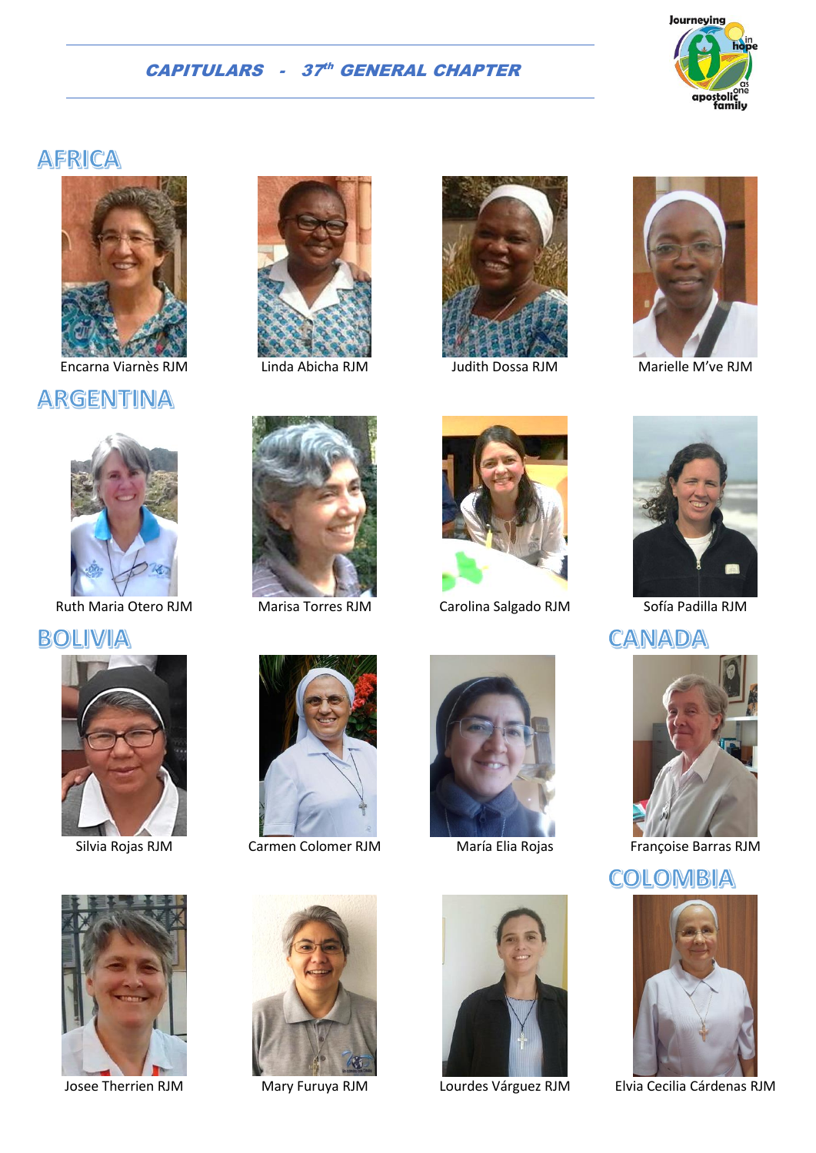

# **AFRICA**



Encarna Viarnès RJM Linda Abicha RJM Judith Dossa RJM Marielle M've RJM

# **ARGENTINA**



Ruth Maria Otero RJM Marisa Torres RJM Carolina Salgado RJM Sofía Padilla RJM

BOLIVIA



















**CANADA** 



Silvia Rojas RJM Carmen Colomer RJM María Elia Rojas Françoise Barras RJM

## COLOMBIA



Josee Therrien RJM Mary Furuya RJM Lourdes Várguez RJM Elvia Cecilia Cárdenas RJM



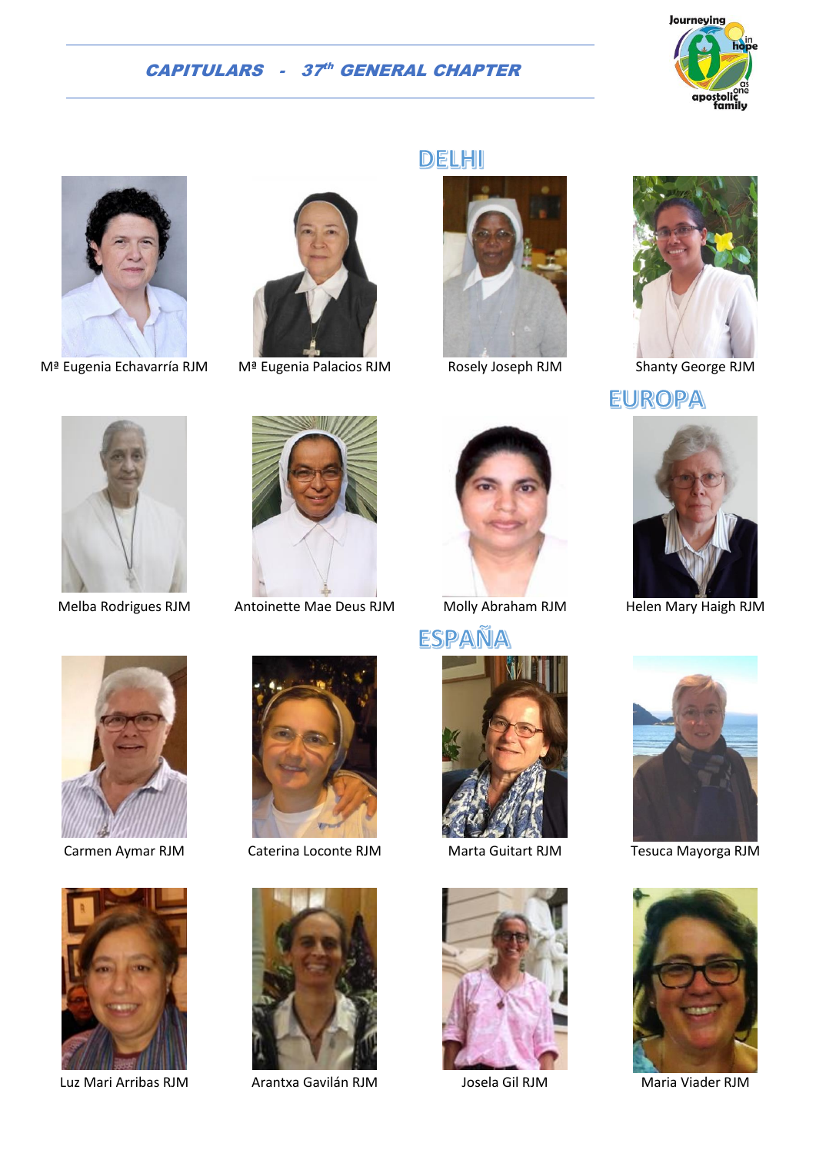





M<sup>a</sup> Eugenia Echavarría RJM M<sup>a</sup> Eugenia Palacios RJM Rosely Joseph RJM Shanty George RJM



Melba Rodrigues RJM Antoinette Mae Deus RJM Molly Abraham RJM Helen Mary Haigh RJM







## **EUROPA**







Luz Mari Arribas RJM Arantxa Gavilán RJM Josela Gil RJM Maria Viader RJM













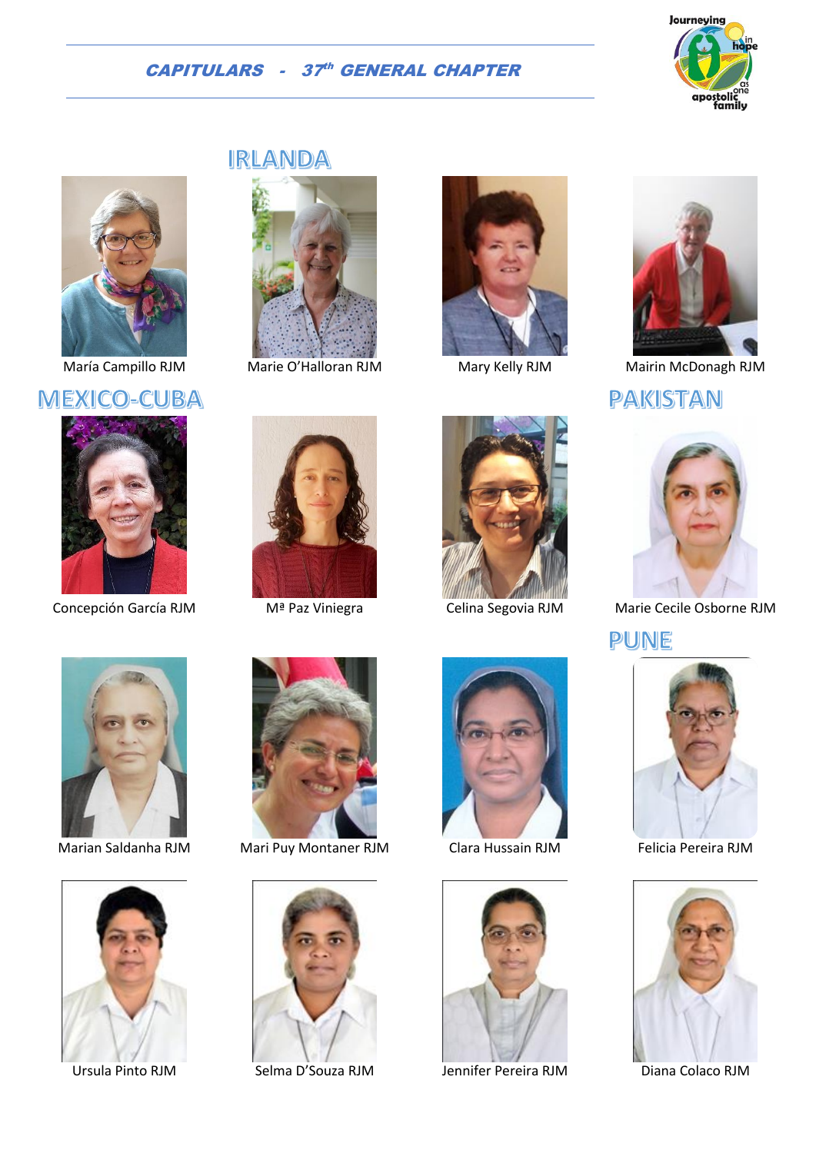



### **MEXICO-CUBA**



## **IRLANDA**









María Campillo RJM Marie O'Halloran RJM Mary Kelly RJM Mairin McDonagh RJM

PAKISTAN



Concepción García RJM Mª Paz Viniegra Celina Segovia RJM Marie Cecile Osborne RJM

PUNE











Marian Saldanha RJM Mari Puy Montaner RJM Clara Hussain RJM Felicia Pereira RJM



Ursula Pinto RJM Selma D'Souza RJM Jennifer Pereira RJM Diana Colaco RJM